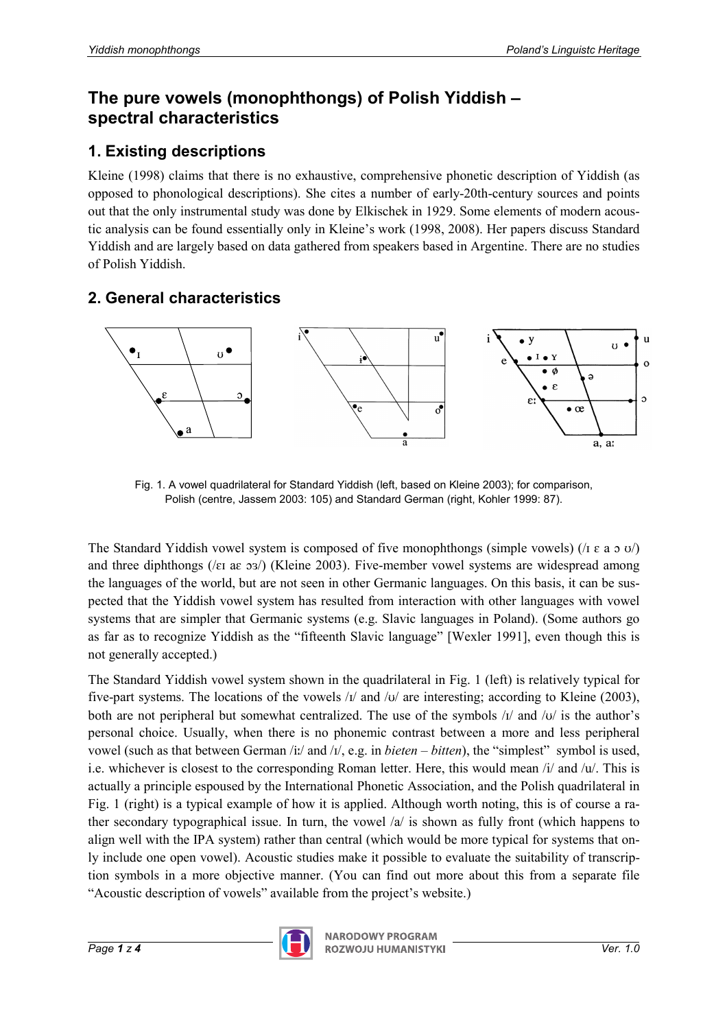# **The pure vowels (monophthongs) of Polish Yiddish – spectral characteristics**

## **1. Existing descriptions**

Kleine (1998) claims that there is no exhaustive, comprehensive phonetic description of Yiddish (as opposed to phonological descriptions). She cites a number of early-20th-century sources and points out that the only instrumental study was done by Elkischek in 1929. Some elements of modern acoustic analysis can be found essentially only in Kleine's work (1998, 2008). Her papers discuss Standard Yiddish and are largely based on data gathered from speakers based in Argentine. There are no studies of Polish Yiddish.

## **2. General characteristics**



Fig. 1. A vowel quadrilateral for Standard Yiddish (left, based on Kleine 2003); for comparison, Polish (centre, Jassem 2003: 105) and Standard German (right, Kohler 1999: 87).

The Standard Yiddish vowel system is composed of five monophthongs (simple vowels) ( $\pi$  a  $\sigma$  o $\pi$ ) and three diphthongs ( $\ell$ Ei a $\varepsilon$  os $\ell$ ) (Kleine 2003). Five-member vowel systems are widespread among the languages of the world, but are not seen in other Germanic languages. On this basis, it can be suspected that the Yiddish vowel system has resulted from interaction with other languages with vowel systems that are simpler that Germanic systems (e.g. Slavic languages in Poland). (Some authors go as far as to recognize Yiddish as the "fifteenth Slavic language" [Wexler 1991], even though this is not generally accepted.)

The Standard Yiddish vowel system shown in the quadrilateral in Fig. 1 (left) is relatively typical for five-part systems. The locations of the vowels  $/t/$  and  $/t/$  are interesting; according to Kleine (2003), both are not peripheral but somewhat centralized. The use of the symbols  $|1\rangle$  and  $|1\rangle$  is the author's personal choice. Usually, when there is no phonemic contrast between a more and less peripheral vowel (such as that between German /iː/ and /ɪ/, e.g. in *bieten* – *bitten*), the "simplest" symbol is used, i.e. whichever is closest to the corresponding Roman letter. Here, this would mean /i/ and /u/. This is actually a principle espoused by the International Phonetic Association, and the Polish quadrilateral in Fig. 1 (right) is a typical example of how it is applied. Although worth noting, this is of course a rather secondary typographical issue. In turn, the vowel /a/ is shown as fully front (which happens to align well with the IPA system) rather than central (which would be more typical for systems that only include one open vowel). Acoustic studies make it possible to evaluate the suitability of transcription symbols in a more objective manner. (You can find out more about this from a separate file "Acoustic description of vowels" available from the project's website.)

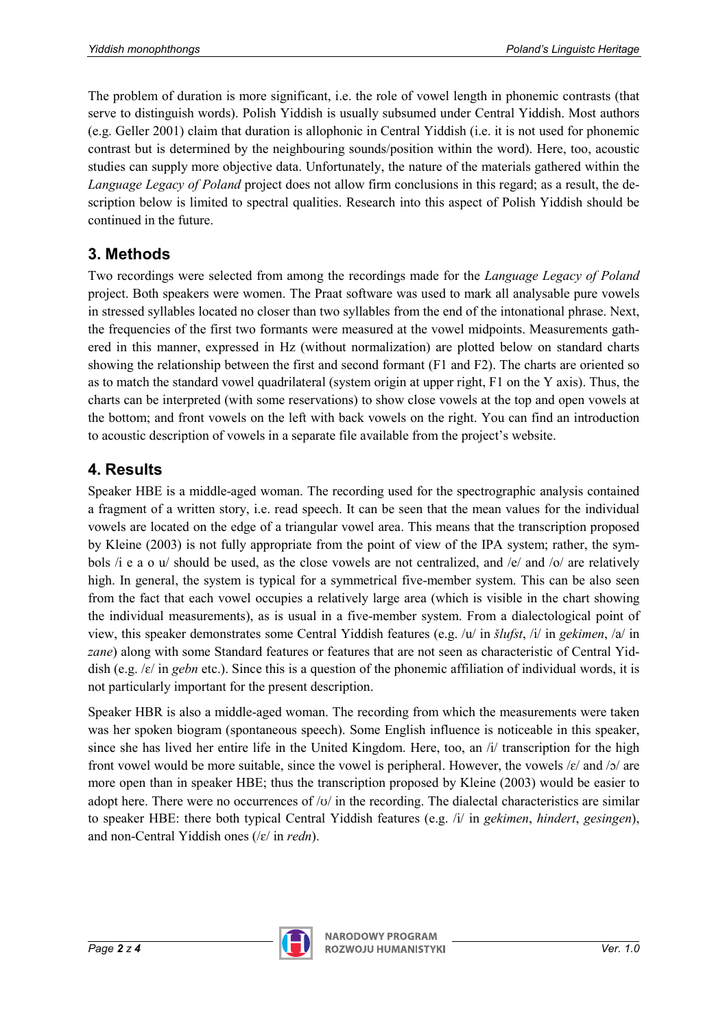The problem of duration is more significant, i.e. the role of vowel length in phonemic contrasts (that serve to distinguish words). Polish Yiddish is usually subsumed under Central Yiddish. Most authors (e.g. Geller 2001) claim that duration is allophonic in Central Yiddish (i.e. it is not used for phonemic contrast but is determined by the neighbouring sounds/position within the word). Here, too, acoustic studies can supply more objective data. Unfortunately, the nature of the materials gathered within the *Language Legacy of Poland* project does not allow firm conclusions in this regard; as a result, the description below is limited to spectral qualities. Research into this aspect of Polish Yiddish should be continued in the future.

### **3. Methods**

Two recordings were selected from among the recordings made for the *Language Legacy of Poland*  project. Both speakers were women. The Praat software was used to mark all analysable pure vowels in stressed syllables located no closer than two syllables from the end of the intonational phrase. Next, the frequencies of the first two formants were measured at the vowel midpoints. Measurements gathered in this manner, expressed in Hz (without normalization) are plotted below on standard charts showing the relationship between the first and second formant (F1 and F2). The charts are oriented so as to match the standard vowel quadrilateral (system origin at upper right, F1 on the Y axis). Thus, the charts can be interpreted (with some reservations) to show close vowels at the top and open vowels at the bottom; and front vowels on the left with back vowels on the right. You can find an introduction to acoustic description of vowels in a separate file available from the project's website.

# **4. Results**

Speaker HBE is a middle-aged woman. The recording used for the spectrographic analysis contained a fragment of a written story, i.e. read speech. It can be seen that the mean values for the individual vowels are located on the edge of a triangular vowel area. This means that the transcription proposed by Kleine (2003) is not fully appropriate from the point of view of the IPA system; rather, the symbols /i e a o u/ should be used, as the close vowels are not centralized, and /e/ and /o/ are relatively high. In general, the system is typical for a symmetrical five-member system. This can be also seen from the fact that each vowel occupies a relatively large area (which is visible in the chart showing the individual measurements), as is usual in a five-member system. From a dialectological point of view, this speaker demonstrates some Central Yiddish features (e.g. /u/ in *šlufst*, /i/ in *gekimen*, /a/ in *zane*) along with some Standard features or features that are not seen as characteristic of Central Yiddish (e.g. /ɛ/ in *gebn* etc.). Since this is a question of the phonemic affiliation of individual words, it is not particularly important for the present description.

Speaker HBR is also a middle-aged woman. The recording from which the measurements were taken was her spoken biogram (spontaneous speech). Some English influence is noticeable in this speaker, since she has lived her entire life in the United Kingdom. Here, too, an /i/ transcription for the high front vowel would be more suitable, since the vowel is peripheral. However, the vowels  $\ell$  and  $\ell$  are more open than in speaker HBE; thus the transcription proposed by Kleine (2003) would be easier to adopt here. There were no occurrences of  $/\nu$  in the recording. The dialectal characteristics are similar to speaker HBE: there both typical Central Yiddish features (e.g. /i/ in *gekimen*, *hindert*, *gesingen*), and non-Central Yiddish ones (/ɛ/ in *redn*).

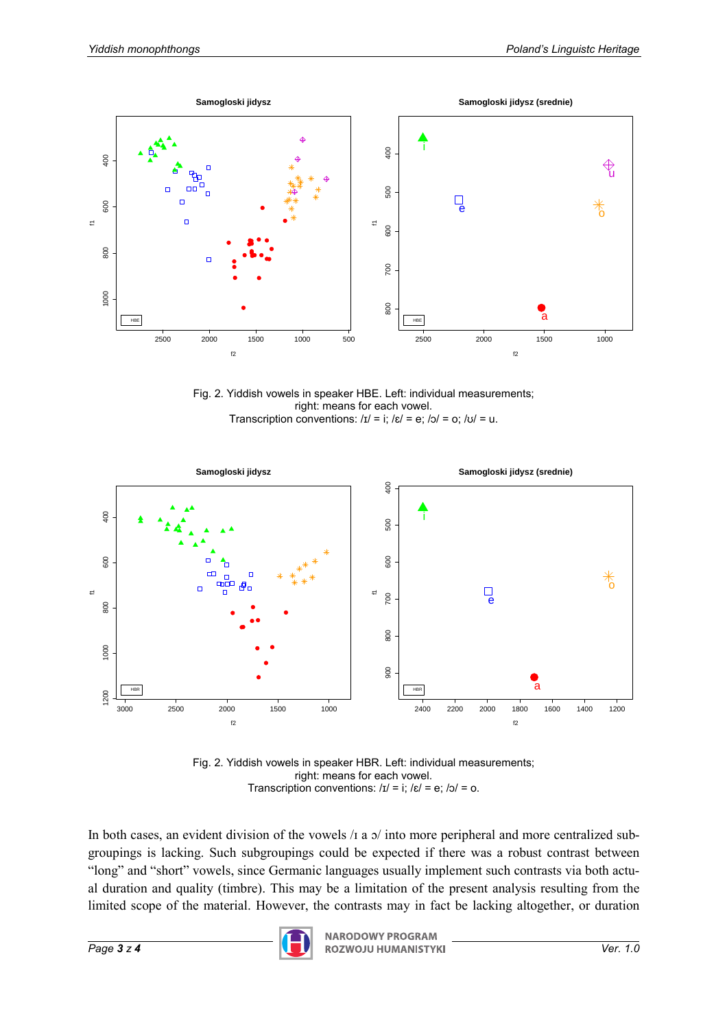

Fig. 2. Yiddish vowels in speaker HBE. Left: individual measurements; right: means for each vowel. Transcription conventions:  $|I| = i$ ;  $|E| = e$ ;  $|S| = o$ ;  $|U| = u$ .



Fig. 2. Yiddish vowels in speaker HBR. Left: individual measurements; right: means for each vowel. Transcription conventions:  $/I/ = i$ ;  $/\varepsilon/ = e$ ;  $/5/ = 0$ .

In both cases, an evident division of the vowels  $\pi$  a  $\sigma$  into more peripheral and more centralized subgroupings is lacking. Such subgroupings could be expected if there was a robust contrast between "long" and "short" vowels, since Germanic languages usually implement such contrasts via both actual duration and quality (timbre). This may be a limitation of the present analysis resulting from the limited scope of the material. However, the contrasts may in fact be lacking altogether, or duration